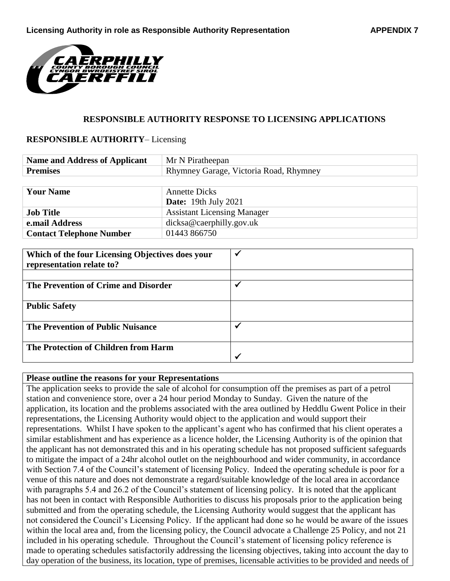

## **RESPONSIBLE AUTHORITY RESPONSE TO LICENSING APPLICATIONS**

## **RESPONSIBLE AUTHORITY**– Licensing

| <b>Name and Address of Applicant</b> | Mr N Piratheepan                       |  |
|--------------------------------------|----------------------------------------|--|
| <b>Premises</b>                      | Rhymney Garage, Victoria Road, Rhymney |  |
|                                      |                                        |  |
| <b>Your Name</b>                     | <b>Annette Dicks</b>                   |  |
|                                      | <b>Date:</b> 19th July 2021            |  |
| <b>Job Title</b>                     | <b>Assistant Licensing Manager</b>     |  |
| e.mail Address                       | $dicksa@cscript}lly.gov.uk$            |  |
| <b>Contact Telephone Number</b>      | 01443 866750                           |  |

| Which of the four Licensing Objectives does your<br>representation relate to? |  |
|-------------------------------------------------------------------------------|--|
|                                                                               |  |
| The Prevention of Crime and Disorder                                          |  |
| <b>Public Safety</b>                                                          |  |
| <b>The Prevention of Public Nuisance</b>                                      |  |
| The Protection of Children from Harm                                          |  |
|                                                                               |  |

## **Please outline the reasons for your Representations**

The application seeks to provide the sale of alcohol for consumption off the premises as part of a petrol station and convenience store, over a 24 hour period Monday to Sunday. Given the nature of the application, its location and the problems associated with the area outlined by Heddlu Gwent Police in their representations, the Licensing Authority would object to the application and would support their representations. Whilst I have spoken to the applicant's agent who has confirmed that his client operates a similar establishment and has experience as a licence holder, the Licensing Authority is of the opinion that the applicant has not demonstrated this and in his operating schedule has not proposed sufficient safeguards to mitigate the impact of a 24hr alcohol outlet on the neighbourhood and wider community, in accordance with Section 7.4 of the Council's statement of licensing Policy. Indeed the operating schedule is poor for a venue of this nature and does not demonstrate a regard/suitable knowledge of the local area in accordance with paragraphs 5.4 and 26.2 of the Council's statement of licensing policy. It is noted that the applicant has not been in contact with Responsible Authorities to discuss his proposals prior to the application being submitted and from the operating schedule, the Licensing Authority would suggest that the applicant has not considered the Council's Licensing Policy. If the applicant had done so he would be aware of the issues within the local area and, from the licensing policy, the Council advocate a Challenge 25 Policy, and not 21 included in his operating schedule. Throughout the Council's statement of licensing policy reference is made to operating schedules satisfactorily addressing the licensing objectives, taking into account the day to day operation of the business, its location, type of premises, licensable activities to be provided and needs of